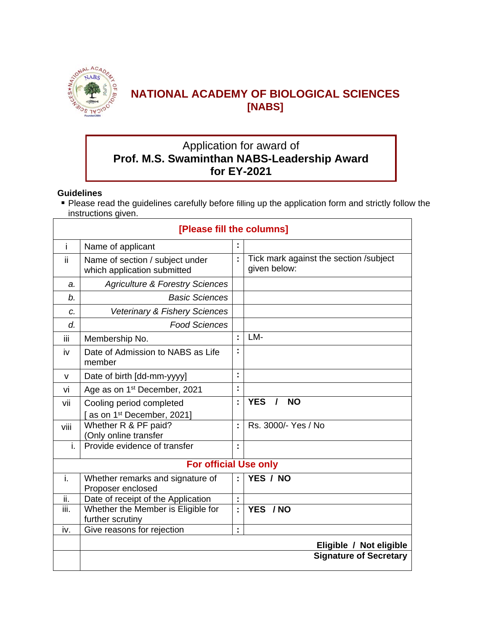

# **NATIONAL ACADEMY OF BIOLOGICAL SCIENCES [NABS]**

# Application for award of **Prof. M.S. Swaminthan NABS-Leadership Award for EY-2021**

#### **Guidelines**

 Please read the guidelines carefully before filling up the application form and strictly follow the instructions given.

|              | [Please fill the columns]                                         |    |                                                        |  |  |  |  |
|--------------|-------------------------------------------------------------------|----|--------------------------------------------------------|--|--|--|--|
| i.           | Name of applicant                                                 |    |                                                        |  |  |  |  |
| ii.          | Name of section / subject under<br>which application submitted    | t  | Tick mark against the section /subject<br>given below: |  |  |  |  |
| a.           | <b>Agriculture &amp; Forestry Sciences</b>                        |    |                                                        |  |  |  |  |
| b.           | <b>Basic Sciences</b>                                             |    |                                                        |  |  |  |  |
| C.           | Veterinary & Fishery Sciences                                     |    |                                                        |  |  |  |  |
| d.           | <b>Food Sciences</b>                                              |    |                                                        |  |  |  |  |
| iii          | Membership No.                                                    | ċ, | LM-                                                    |  |  |  |  |
| iv           | Date of Admission to NABS as Life<br>member                       |    |                                                        |  |  |  |  |
| $\mathsf{v}$ | Date of birth [dd-mm-yyyy]                                        | t  |                                                        |  |  |  |  |
| vi           | Age as on 1 <sup>st</sup> December, 2021                          | Ì  |                                                        |  |  |  |  |
| vii          | Cooling period completed<br>as on 1 <sup>st</sup> December, 2021] | t  | <b>YES</b><br><b>NO</b><br>$\prime$                    |  |  |  |  |
| viii         | Whether R & PF paid?<br>(Only online transfer                     | t  | Rs. 3000/- Yes / No                                    |  |  |  |  |
| i.           | Provide evidence of transfer                                      | ċ  |                                                        |  |  |  |  |
|              | <b>For official Use only</b>                                      |    |                                                        |  |  |  |  |
| i.           | Whether remarks and signature of<br>Proposer enclosed             | t  | YES / NO                                               |  |  |  |  |
| ii.          | Date of receipt of the Application                                | t  |                                                        |  |  |  |  |
| iii.         | Whether the Member is Eligible for                                | t  | YES / NO                                               |  |  |  |  |
| iv.          | further scrutiny                                                  |    |                                                        |  |  |  |  |
|              | Give reasons for rejection                                        | t  |                                                        |  |  |  |  |
|              |                                                                   |    | Eligible / Not eligible                                |  |  |  |  |
|              | <b>Signature of Secretary</b>                                     |    |                                                        |  |  |  |  |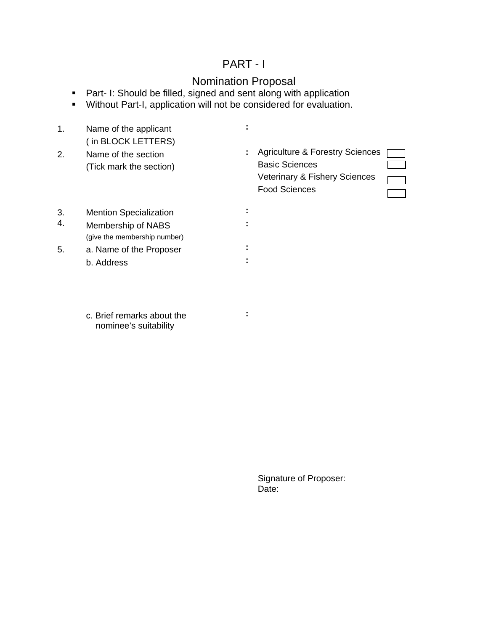## PART - I

## Nomination Proposal

- **Part- I: Should be filled, signed and sent along with application**
- **Without Part-I, application will not be considered for evaluation.**

| 1. | Name of the applicant<br>(in BLOCK LETTERS)         |    |                                                                                                                              |
|----|-----------------------------------------------------|----|------------------------------------------------------------------------------------------------------------------------------|
| 2. | Name of the section<br>(Tick mark the section)      | ÷. | <b>Agriculture &amp; Forestry Sciences</b><br><b>Basic Sciences</b><br>Veterinary & Fishery Sciences<br><b>Food Sciences</b> |
| 3. | <b>Mention Specialization</b>                       |    |                                                                                                                              |
| 4. | Membership of NABS<br>(give the membership number)  |    |                                                                                                                              |
| 5. | a. Name of the Proposer                             |    |                                                                                                                              |
|    | b. Address                                          |    |                                                                                                                              |
|    | c. Brief remarks about the<br>nominee's suitability |    |                                                                                                                              |
|    |                                                     |    |                                                                                                                              |
|    |                                                     |    | Signature of Proposer:                                                                                                       |
|    |                                                     |    | Date:                                                                                                                        |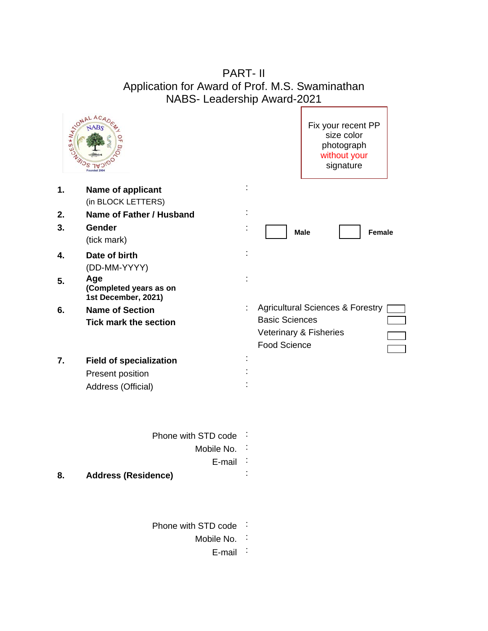# PART- II Application for Award of Prof. M.S. Swaminathan NABS- Leadership Award-2021

 $\mathbf{I}$ 

|    | AND NALACADES                                        | Fix your recent PP<br>size color<br>photograph<br>without your<br>signature |  |
|----|------------------------------------------------------|-----------------------------------------------------------------------------|--|
| 1. | Name of applicant                                    |                                                                             |  |
| 2. | (in BLOCK LETTERS)<br>Name of Father / Husband       |                                                                             |  |
| 3. | Gender                                               |                                                                             |  |
|    | (tick mark)                                          | <b>Male</b><br>Female                                                       |  |
| 4. | Date of birth                                        |                                                                             |  |
|    | (DD-MM-YYYY)                                         |                                                                             |  |
| 5. | Age<br>(Completed years as on<br>1st December, 2021) |                                                                             |  |
| 6. | <b>Name of Section</b>                               | <b>Agricultural Sciences &amp; Forestry</b>                                 |  |
|    | <b>Tick mark the section</b>                         | <b>Basic Sciences</b>                                                       |  |
|    |                                                      | Veterinary & Fisheries                                                      |  |
|    |                                                      | <b>Food Science</b>                                                         |  |
| 7. | <b>Field of specialization</b>                       |                                                                             |  |
|    | Present position                                     |                                                                             |  |
|    | Address (Official)                                   |                                                                             |  |
|    | Phone with STD code                                  |                                                                             |  |
|    | Mobile No.                                           |                                                                             |  |
|    | E-mail                                               |                                                                             |  |
| ၓ. | <b>Address (Residence)</b>                           |                                                                             |  |
|    | Phone with STD code                                  |                                                                             |  |
|    | Mobile No.                                           |                                                                             |  |
|    | $E$ -mail                                            |                                                                             |  |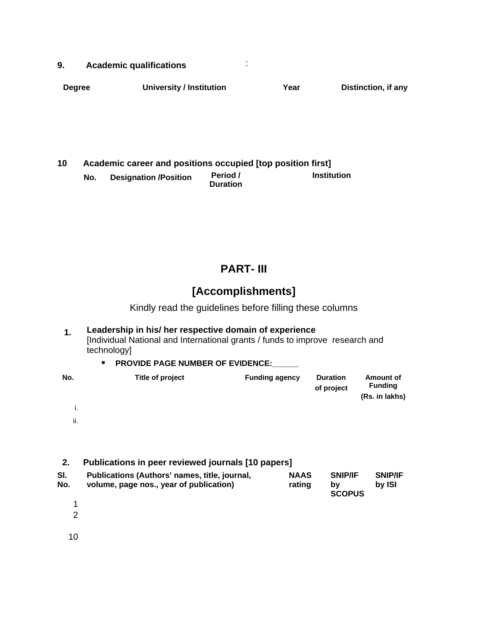|               | <b>Academic qualifications</b>  |  |  |                     |
|---------------|---------------------------------|--|--|---------------------|
| <b>Degree</b> | <b>University / Institution</b> |  |  | Distinction, if any |
|               |                                 |  |  |                     |
|               |                                 |  |  |                     |
|               |                                 |  |  |                     |

| 10 | Academic career and positions occupied [top position first] |                              |                             |             |  |  |  |  |
|----|-------------------------------------------------------------|------------------------------|-----------------------------|-------------|--|--|--|--|
|    | No.                                                         | <b>Designation /Position</b> | Period /<br><b>Duration</b> | Institution |  |  |  |  |
|    |                                                             |                              |                             |             |  |  |  |  |
|    |                                                             |                              |                             |             |  |  |  |  |
|    |                                                             |                              |                             |             |  |  |  |  |
|    |                                                             |                              |                             |             |  |  |  |  |

# **PART- III**

# **[Accomplishments]**

Kindly read the guidelines before filling these columns

|       | Leadership in his/ her respective domain of experience<br>[Individual National and International grants / funds to improve research and<br>technology]<br><b>PROVIDE PAGE NUMBER OF EVIDENCE:</b> |  |  |  |  |  |  |
|-------|---------------------------------------------------------------------------------------------------------------------------------------------------------------------------------------------------|--|--|--|--|--|--|
| No.   | <b>Duration</b><br>Title of project<br><b>Funding agency</b><br>Amount of<br><b>Funding</b><br>of project<br>(Rs. in lakhs)                                                                       |  |  |  |  |  |  |
|       |                                                                                                                                                                                                   |  |  |  |  |  |  |
| <br>п |                                                                                                                                                                                                   |  |  |  |  |  |  |
|       |                                                                                                                                                                                                   |  |  |  |  |  |  |

| Publications in peer reviewed journals [10 papers]<br>2. |                                                                                          |                       |                                 |                          |  |  |  |
|----------------------------------------------------------|------------------------------------------------------------------------------------------|-----------------------|---------------------------------|--------------------------|--|--|--|
| SI.<br>No.                                               | Publications (Authors' names, title, journal,<br>volume, page nos., year of publication) | <b>NAAS</b><br>rating | <b>SNIP/IF</b><br><b>SCOPUS</b> | <b>SNIP/IF</b><br>by ISI |  |  |  |
|                                                          |                                                                                          |                       |                                 |                          |  |  |  |
|                                                          |                                                                                          |                       |                                 |                          |  |  |  |
|                                                          |                                                                                          |                       |                                 |                          |  |  |  |
|                                                          |                                                                                          |                       |                                 |                          |  |  |  |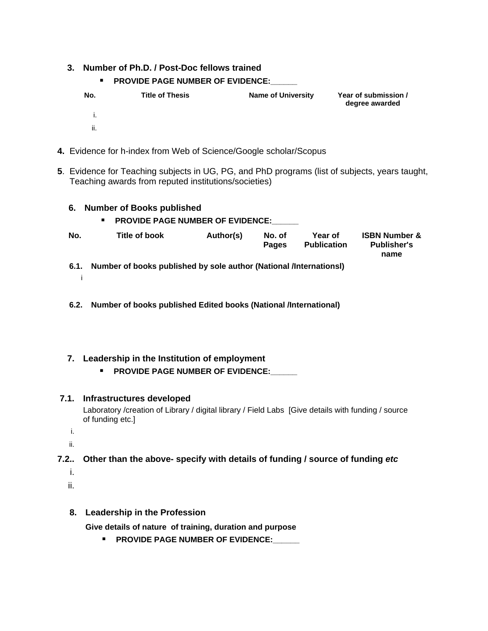| 3. Number of Ph.D. / Post-Doc fellows trained<br><b>PROVIDE PAGE NUMBER OF EVIDENCE:</b> |                        |                           |                                      |  |  |  |  |
|------------------------------------------------------------------------------------------|------------------------|---------------------------|--------------------------------------|--|--|--|--|
| No.                                                                                      | <b>Title of Thesis</b> | <b>Name of University</b> | Year of submission<br>degree awarded |  |  |  |  |
|                                                                                          |                        |                           |                                      |  |  |  |  |
|                                                                                          |                        |                           |                                      |  |  |  |  |

- **4.** Evidence for h-index from Web of Science/Google scholar/Scopus
- **5**. Evidence for Teaching subjects in UG, PG, and PhD programs (list of subjects, years taught, Teaching awards from reputed institutions/societies)

| 6.  | Number of Books published<br><b>PROVIDE PAGE NUMBER OF EVIDENCE:</b><br>п. |           |                        |                               |                                                        |
|-----|----------------------------------------------------------------------------|-----------|------------------------|-------------------------------|--------------------------------------------------------|
| No. | Title of book                                                              | Author(s) | No. of<br><b>Pages</b> | Year of<br><b>Publication</b> | <b>ISBN Number &amp;</b><br><b>Publisher's</b><br>name |
|     | 6.1. Number of books published by sole author (National /Internationsl)    |           |                        |                               |                                                        |
|     |                                                                            |           |                        |                               |                                                        |
|     | 6.2.   Number of books published Edited books (National /International)    |           |                        |                               |                                                        |
|     |                                                                            |           |                        |                               |                                                        |
|     |                                                                            |           |                        |                               |                                                        |

**7. Leadership in the Institution of employment PROVIDE PAGE NUMBER OF EVIDENCE:** 

| 7.1. Infrastructures developed                                                                                         |
|------------------------------------------------------------------------------------------------------------------------|
| Laboratory /creation of Library / digital library / Field Labs [Give details with funding / source<br>of funding etc.] |
|                                                                                                                        |
|                                                                                                                        |
| 7.2. Depeth of funding other than the above- specify with details of funding / source of funding etc                   |
|                                                                                                                        |
|                                                                                                                        |

........................

| 8. Leadership in the Profession                          |
|----------------------------------------------------------|
| Give details of nature of training, duration and purpose |
| ■ PROVIDE PAGE NUMBER OF EVIDENCE:                       |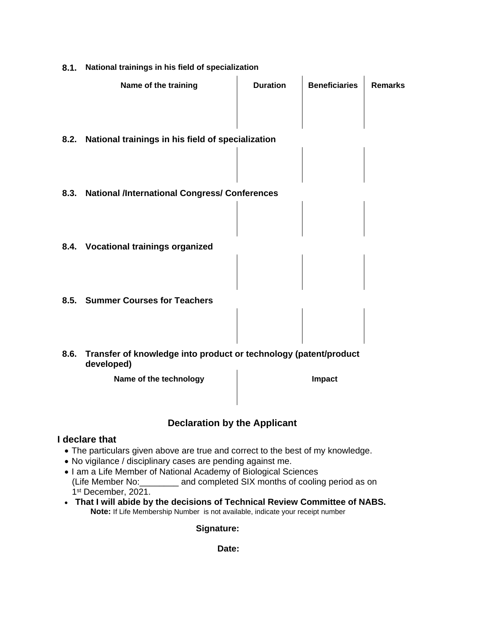| 8.1. National trainings in his field of specialization                              |                 |                      |                |  |  |
|-------------------------------------------------------------------------------------|-----------------|----------------------|----------------|--|--|
| Name of the training                                                                | <b>Duration</b> | <b>Beneficiaries</b> | <b>Remarks</b> |  |  |
|                                                                                     |                 |                      |                |  |  |
|                                                                                     |                 |                      |                |  |  |
| 8.2. National trainings in his field of specialization                              |                 |                      |                |  |  |
|                                                                                     |                 |                      |                |  |  |
|                                                                                     |                 |                      |                |  |  |
| 8.3. National /International Congress/ Conferences                                  |                 |                      |                |  |  |
|                                                                                     |                 |                      |                |  |  |
|                                                                                     |                 |                      |                |  |  |
| 8.4. Vocational trainings organized                                                 |                 |                      |                |  |  |
|                                                                                     |                 |                      |                |  |  |
|                                                                                     |                 |                      |                |  |  |
| 8.5. Summer Courses for Teachers                                                    |                 |                      |                |  |  |
|                                                                                     |                 |                      |                |  |  |
|                                                                                     |                 |                      |                |  |  |
| 8.6. Transfer of knowledge into product or technology (patent/product<br>developed) |                 |                      |                |  |  |
| Name of the technology                                                              |                 | Impact               |                |  |  |
|                                                                                     |                 |                      |                |  |  |

### **Declaration by the Applicant**

### **I declare that**

- The particulars given above are true and correct to the best of my knowledge.
- No vigilance / disciplinary cases are pending against me.
- I am a Life Member of National Academy of Biological Sciences [16] Life Member Member Assets and completed SIX months of cooling period as on 1st December, 2021.
- **That I will abide by the decisions of Technical Review Committee of NABS. Note:** If Life Membership Number is not available, indicate your receipt number

#### **Signature:**

### **Date:**